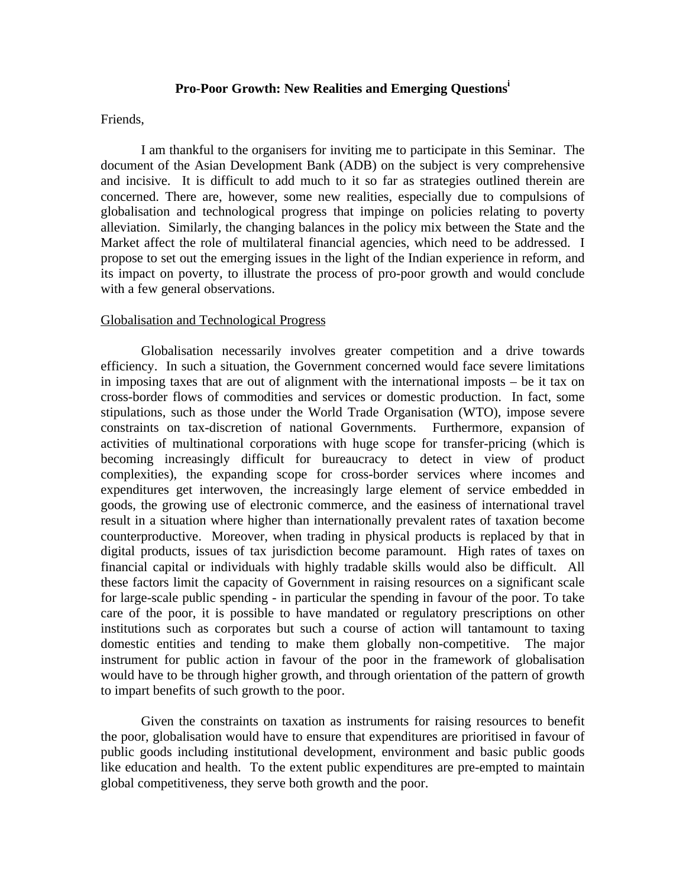# **Pro-Poor Growth: New Realities and Emerging Questions<sup>i</sup>**

### Friends,

I am thankful to the organisers for inviting me to participate in this Seminar. The document of the Asian Development Bank (ADB) on the subject is very comprehensive and incisive. It is difficult to add much to it so far as strategies outlined therein are concerned. There are, however, some new realities, especially due to compulsions of globalisation and technological progress that impinge on policies relating to poverty alleviation. Similarly, the changing balances in the policy mix between the State and the Market affect the role of multilateral financial agencies, which need to be addressed. I propose to set out the emerging issues in the light of the Indian experience in reform, and its impact on poverty, to illustrate the process of pro-poor growth and would conclude with a few general observations.

## Globalisation and Technological Progress

Globalisation necessarily involves greater competition and a drive towards efficiency. In such a situation, the Government concerned would face severe limitations in imposing taxes that are out of alignment with the international imposts – be it tax on cross-border flows of commodities and services or domestic production. In fact, some stipulations, such as those under the World Trade Organisation (WTO), impose severe constraints on tax-discretion of national Governments. Furthermore, expansion of activities of multinational corporations with huge scope for transfer-pricing (which is becoming increasingly difficult for bureaucracy to detect in view of product complexities), the expanding scope for cross-border services where incomes and expenditures get interwoven, the increasingly large element of service embedded in goods, the growing use of electronic commerce, and the easiness of international travel result in a situation where higher than internationally prevalent rates of taxation become counterproductive. Moreover, when trading in physical products is replaced by that in digital products, issues of tax jurisdiction become paramount. High rates of taxes on financial capital or individuals with highly tradable skills would also be difficult. All these factors limit the capacity of Government in raising resources on a significant scale for large-scale public spending - in particular the spending in favour of the poor. To take care of the poor, it is possible to have mandated or regulatory prescriptions on other institutions such as corporates but such a course of action will tantamount to taxing domestic entities and tending to make them globally non-competitive. The major instrument for public action in favour of the poor in the framework of globalisation would have to be through higher growth, and through orientation of the pattern of growth to impart benefits of such growth to the poor.

Given the constraints on taxation as instruments for raising resources to benefit the poor, globalisation would have to ensure that expenditures are prioritised in favour of public goods including institutional development, environment and basic public goods like education and health. To the extent public expenditures are pre-empted to maintain global competitiveness, they serve both growth and the poor.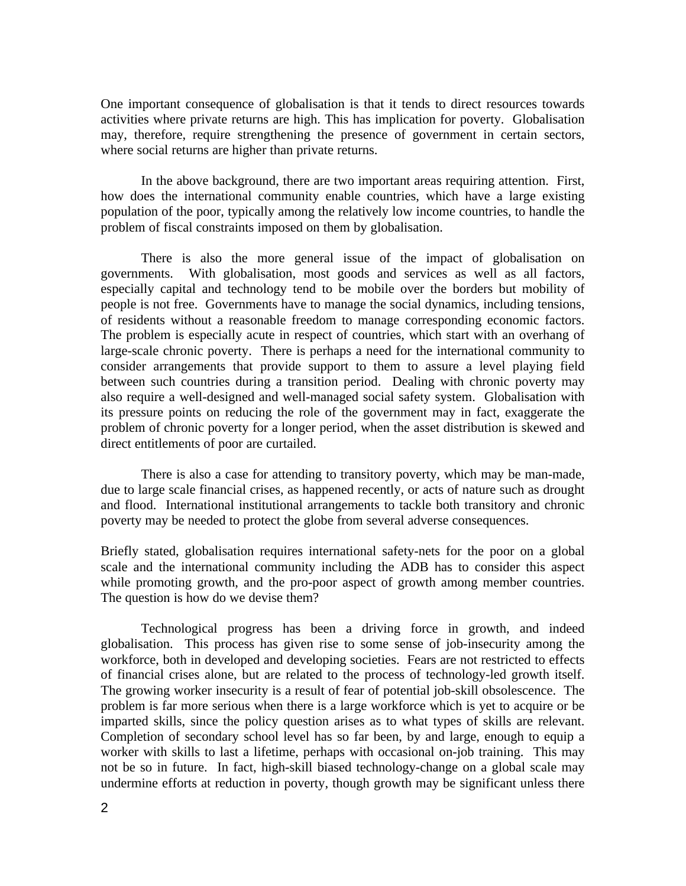One important consequence of globalisation is that it tends to direct resources towards activities where private returns are high. This has implication for poverty. Globalisation may, therefore, require strengthening the presence of government in certain sectors, where social returns are higher than private returns.

In the above background, there are two important areas requiring attention. First, how does the international community enable countries, which have a large existing population of the poor, typically among the relatively low income countries, to handle the problem of fiscal constraints imposed on them by globalisation.

There is also the more general issue of the impact of globalisation on governments. With globalisation, most goods and services as well as all factors, especially capital and technology tend to be mobile over the borders but mobility of people is not free. Governments have to manage the social dynamics, including tensions, of residents without a reasonable freedom to manage corresponding economic factors. The problem is especially acute in respect of countries, which start with an overhang of large-scale chronic poverty. There is perhaps a need for the international community to consider arrangements that provide support to them to assure a level playing field between such countries during a transition period. Dealing with chronic poverty may also require a well-designed and well-managed social safety system. Globalisation with its pressure points on reducing the role of the government may in fact, exaggerate the problem of chronic poverty for a longer period, when the asset distribution is skewed and direct entitlements of poor are curtailed.

There is also a case for attending to transitory poverty, which may be man-made, due to large scale financial crises, as happened recently, or acts of nature such as drought and flood. International institutional arrangements to tackle both transitory and chronic poverty may be needed to protect the globe from several adverse consequences.

Briefly stated, globalisation requires international safety-nets for the poor on a global scale and the international community including the ADB has to consider this aspect while promoting growth, and the pro-poor aspect of growth among member countries. The question is how do we devise them?

Technological progress has been a driving force in growth, and indeed globalisation. This process has given rise to some sense of job-insecurity among the workforce, both in developed and developing societies. Fears are not restricted to effects of financial crises alone, but are related to the process of technology-led growth itself. The growing worker insecurity is a result of fear of potential job-skill obsolescence. The problem is far more serious when there is a large workforce which is yet to acquire or be imparted skills, since the policy question arises as to what types of skills are relevant. Completion of secondary school level has so far been, by and large, enough to equip a worker with skills to last a lifetime, perhaps with occasional on-job training. This may not be so in future. In fact, high-skill biased technology-change on a global scale may undermine efforts at reduction in poverty, though growth may be significant unless there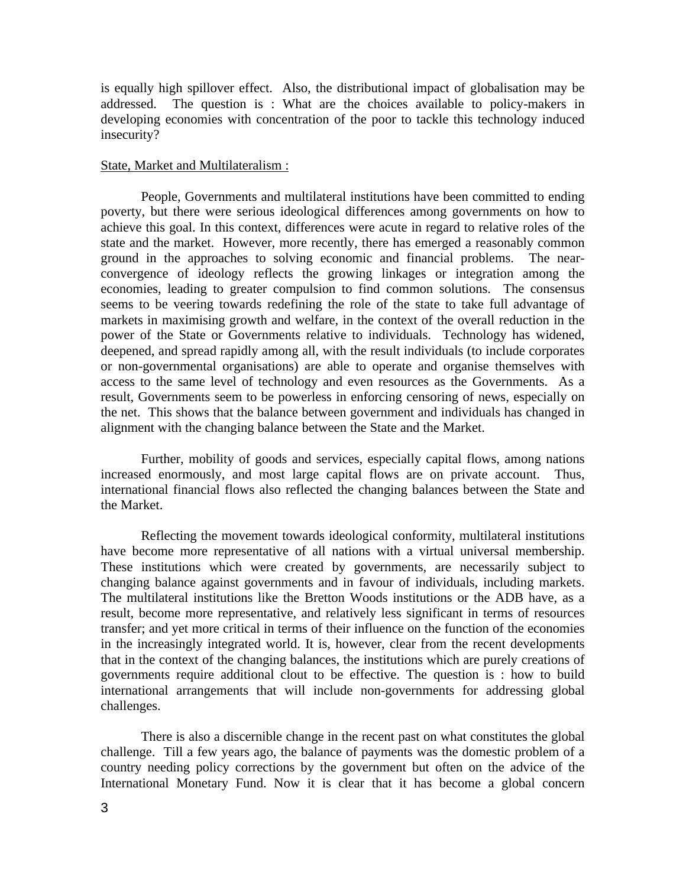is equally high spillover effect. Also, the distributional impact of globalisation may be addressed. The question is : What are the choices available to policy-makers in developing economies with concentration of the poor to tackle this technology induced insecurity?

#### State, Market and Multilateralism :

People, Governments and multilateral institutions have been committed to ending poverty, but there were serious ideological differences among governments on how to achieve this goal. In this context, differences were acute in regard to relative roles of the state and the market. However, more recently, there has emerged a reasonably common ground in the approaches to solving economic and financial problems. The nearconvergence of ideology reflects the growing linkages or integration among the economies, leading to greater compulsion to find common solutions. The consensus seems to be veering towards redefining the role of the state to take full advantage of markets in maximising growth and welfare, in the context of the overall reduction in the power of the State or Governments relative to individuals. Technology has widened, deepened, and spread rapidly among all, with the result individuals (to include corporates or non-governmental organisations) are able to operate and organise themselves with access to the same level of technology and even resources as the Governments. As a result, Governments seem to be powerless in enforcing censoring of news, especially on the net. This shows that the balance between government and individuals has changed in alignment with the changing balance between the State and the Market.

Further, mobility of goods and services, especially capital flows, among nations increased enormously, and most large capital flows are on private account. Thus, international financial flows also reflected the changing balances between the State and the Market.

Reflecting the movement towards ideological conformity, multilateral institutions have become more representative of all nations with a virtual universal membership. These institutions which were created by governments, are necessarily subject to changing balance against governments and in favour of individuals, including markets. The multilateral institutions like the Bretton Woods institutions or the ADB have, as a result, become more representative, and relatively less significant in terms of resources transfer; and yet more critical in terms of their influence on the function of the economies in the increasingly integrated world. It is, however, clear from the recent developments that in the context of the changing balances, the institutions which are purely creations of governments require additional clout to be effective. The question is : how to build international arrangements that will include non-governments for addressing global challenges.

There is also a discernible change in the recent past on what constitutes the global challenge. Till a few years ago, the balance of payments was the domestic problem of a country needing policy corrections by the government but often on the advice of the International Monetary Fund. Now it is clear that it has become a global concern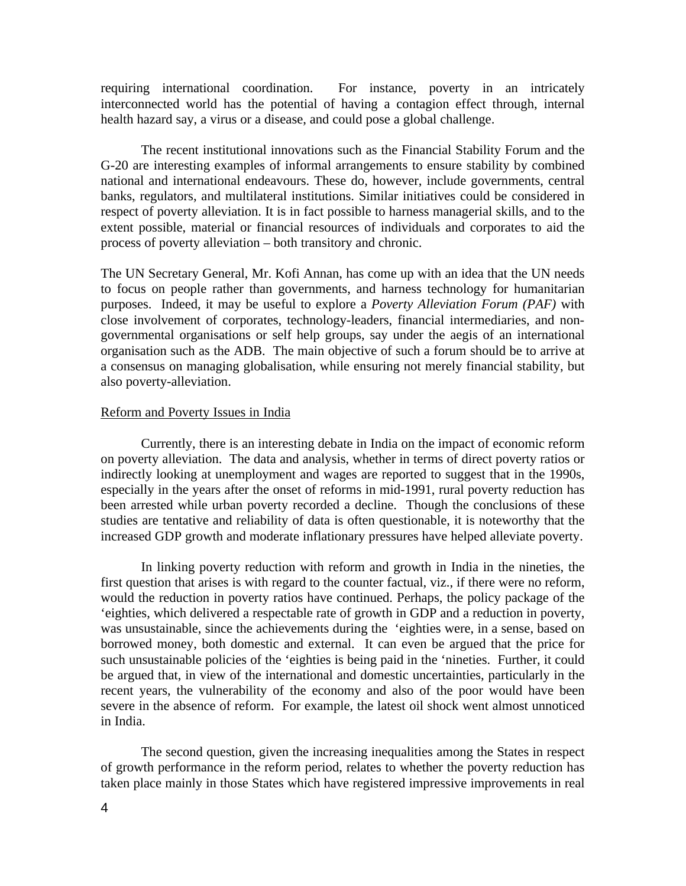requiring international coordination. For instance, poverty in an intricately interconnected world has the potential of having a contagion effect through, internal health hazard say, a virus or a disease, and could pose a global challenge.

The recent institutional innovations such as the Financial Stability Forum and the G-20 are interesting examples of informal arrangements to ensure stability by combined national and international endeavours. These do, however, include governments, central banks, regulators, and multilateral institutions. Similar initiatives could be considered in respect of poverty alleviation. It is in fact possible to harness managerial skills, and to the extent possible, material or financial resources of individuals and corporates to aid the process of poverty alleviation – both transitory and chronic.

The UN Secretary General, Mr. Kofi Annan, has come up with an idea that the UN needs to focus on people rather than governments, and harness technology for humanitarian purposes. Indeed, it may be useful to explore a *Poverty Alleviation Forum (PAF)* with close involvement of corporates, technology-leaders, financial intermediaries, and nongovernmental organisations or self help groups, say under the aegis of an international organisation such as the ADB. The main objective of such a forum should be to arrive at a consensus on managing globalisation, while ensuring not merely financial stability, but also poverty-alleviation.

# Reform and Poverty Issues in India

Currently, there is an interesting debate in India on the impact of economic reform on poverty alleviation. The data and analysis, whether in terms of direct poverty ratios or indirectly looking at unemployment and wages are reported to suggest that in the 1990s, especially in the years after the onset of reforms in mid-1991, rural poverty reduction has been arrested while urban poverty recorded a decline. Though the conclusions of these studies are tentative and reliability of data is often questionable, it is noteworthy that the increased GDP growth and moderate inflationary pressures have helped alleviate poverty.

In linking poverty reduction with reform and growth in India in the nineties, the first question that arises is with regard to the counter factual, viz., if there were no reform, would the reduction in poverty ratios have continued. Perhaps, the policy package of the 'eighties, which delivered a respectable rate of growth in GDP and a reduction in poverty, was unsustainable, since the achievements during the 'eighties were, in a sense, based on borrowed money, both domestic and external. It can even be argued that the price for such unsustainable policies of the 'eighties is being paid in the 'nineties. Further, it could be argued that, in view of the international and domestic uncertainties, particularly in the recent years, the vulnerability of the economy and also of the poor would have been severe in the absence of reform. For example, the latest oil shock went almost unnoticed in India.

The second question, given the increasing inequalities among the States in respect of growth performance in the reform period, relates to whether the poverty reduction has taken place mainly in those States which have registered impressive improvements in real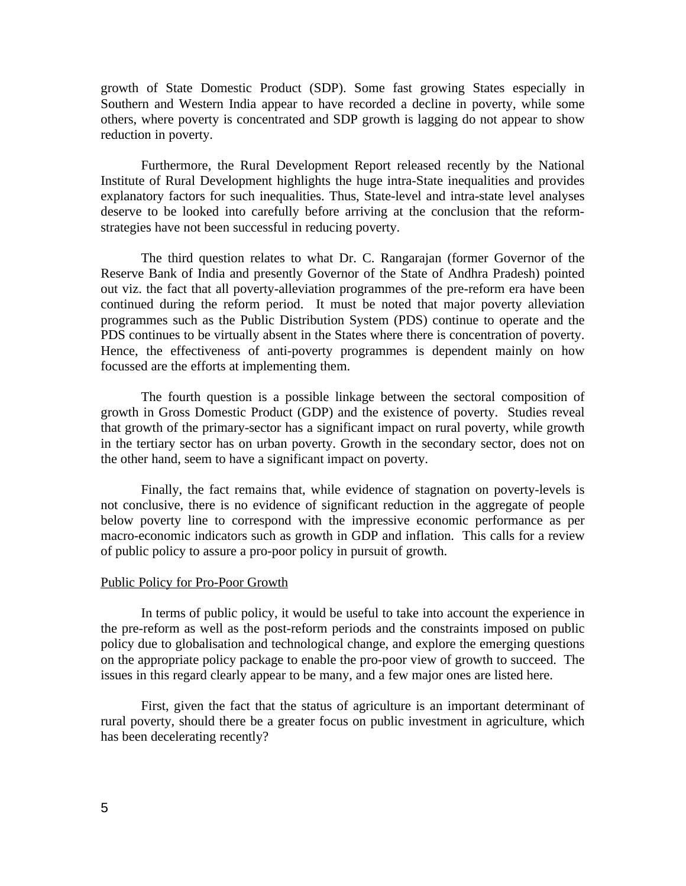growth of State Domestic Product (SDP). Some fast growing States especially in Southern and Western India appear to have recorded a decline in poverty, while some others, where poverty is concentrated and SDP growth is lagging do not appear to show reduction in poverty.

Furthermore, the Rural Development Report released recently by the National Institute of Rural Development highlights the huge intra-State inequalities and provides explanatory factors for such inequalities. Thus, State-level and intra-state level analyses deserve to be looked into carefully before arriving at the conclusion that the reformstrategies have not been successful in reducing poverty.

The third question relates to what Dr. C. Rangarajan (former Governor of the Reserve Bank of India and presently Governor of the State of Andhra Pradesh) pointed out viz. the fact that all poverty-alleviation programmes of the pre-reform era have been continued during the reform period. It must be noted that major poverty alleviation programmes such as the Public Distribution System (PDS) continue to operate and the PDS continues to be virtually absent in the States where there is concentration of poverty. Hence, the effectiveness of anti-poverty programmes is dependent mainly on how focussed are the efforts at implementing them.

The fourth question is a possible linkage between the sectoral composition of growth in Gross Domestic Product (GDP) and the existence of poverty. Studies reveal that growth of the primary-sector has a significant impact on rural poverty, while growth in the tertiary sector has on urban poverty. Growth in the secondary sector, does not on the other hand, seem to have a significant impact on poverty.

Finally, the fact remains that, while evidence of stagnation on poverty-levels is not conclusive, there is no evidence of significant reduction in the aggregate of people below poverty line to correspond with the impressive economic performance as per macro-economic indicators such as growth in GDP and inflation. This calls for a review of public policy to assure a pro-poor policy in pursuit of growth.

#### Public Policy for Pro-Poor Growth

In terms of public policy, it would be useful to take into account the experience in the pre-reform as well as the post-reform periods and the constraints imposed on public policy due to globalisation and technological change, and explore the emerging questions on the appropriate policy package to enable the pro-poor view of growth to succeed. The issues in this regard clearly appear to be many, and a few major ones are listed here.

First, given the fact that the status of agriculture is an important determinant of rural poverty, should there be a greater focus on public investment in agriculture, which has been decelerating recently?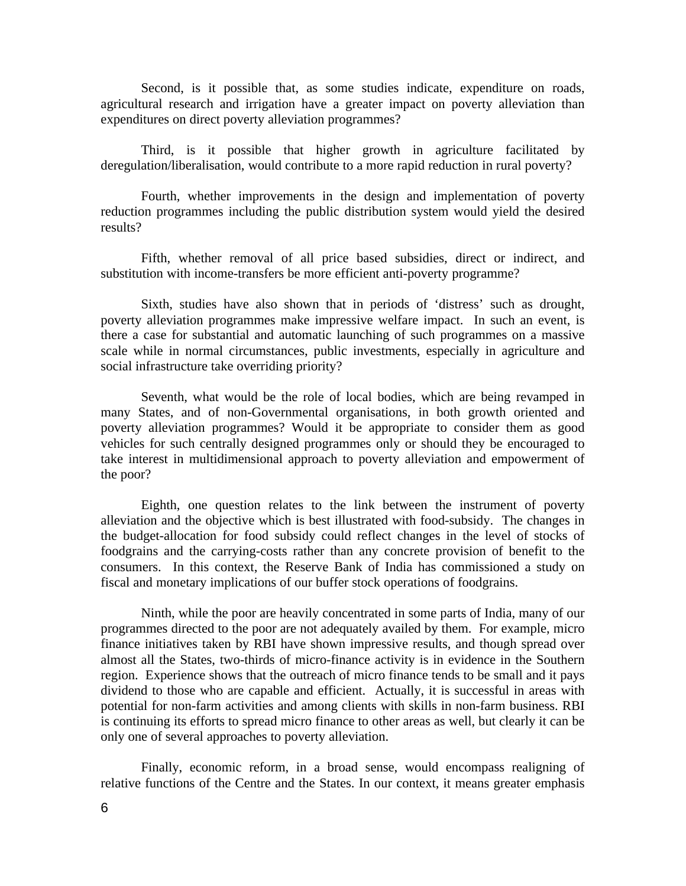Second, is it possible that, as some studies indicate, expenditure on roads, agricultural research and irrigation have a greater impact on poverty alleviation than expenditures on direct poverty alleviation programmes?

Third, is it possible that higher growth in agriculture facilitated by deregulation/liberalisation, would contribute to a more rapid reduction in rural poverty?

Fourth, whether improvements in the design and implementation of poverty reduction programmes including the public distribution system would yield the desired results?

Fifth, whether removal of all price based subsidies, direct or indirect, and substitution with income-transfers be more efficient anti-poverty programme?

Sixth, studies have also shown that in periods of 'distress' such as drought, poverty alleviation programmes make impressive welfare impact. In such an event, is there a case for substantial and automatic launching of such programmes on a massive scale while in normal circumstances, public investments, especially in agriculture and social infrastructure take overriding priority?

Seventh, what would be the role of local bodies, which are being revamped in many States, and of non-Governmental organisations, in both growth oriented and poverty alleviation programmes? Would it be appropriate to consider them as good vehicles for such centrally designed programmes only or should they be encouraged to take interest in multidimensional approach to poverty alleviation and empowerment of the poor?

Eighth, one question relates to the link between the instrument of poverty alleviation and the objective which is best illustrated with food-subsidy. The changes in the budget-allocation for food subsidy could reflect changes in the level of stocks of foodgrains and the carrying-costs rather than any concrete provision of benefit to the consumers. In this context, the Reserve Bank of India has commissioned a study on fiscal and monetary implications of our buffer stock operations of foodgrains.

Ninth, while the poor are heavily concentrated in some parts of India, many of our programmes directed to the poor are not adequately availed by them. For example, micro finance initiatives taken by RBI have shown impressive results, and though spread over almost all the States, two-thirds of micro-finance activity is in evidence in the Southern region. Experience shows that the outreach of micro finance tends to be small and it pays dividend to those who are capable and efficient. Actually, it is successful in areas with potential for non-farm activities and among clients with skills in non-farm business. RBI is continuing its efforts to spread micro finance to other areas as well, but clearly it can be only one of several approaches to poverty alleviation.

Finally, economic reform, in a broad sense, would encompass realigning of relative functions of the Centre and the States. In our context, it means greater emphasis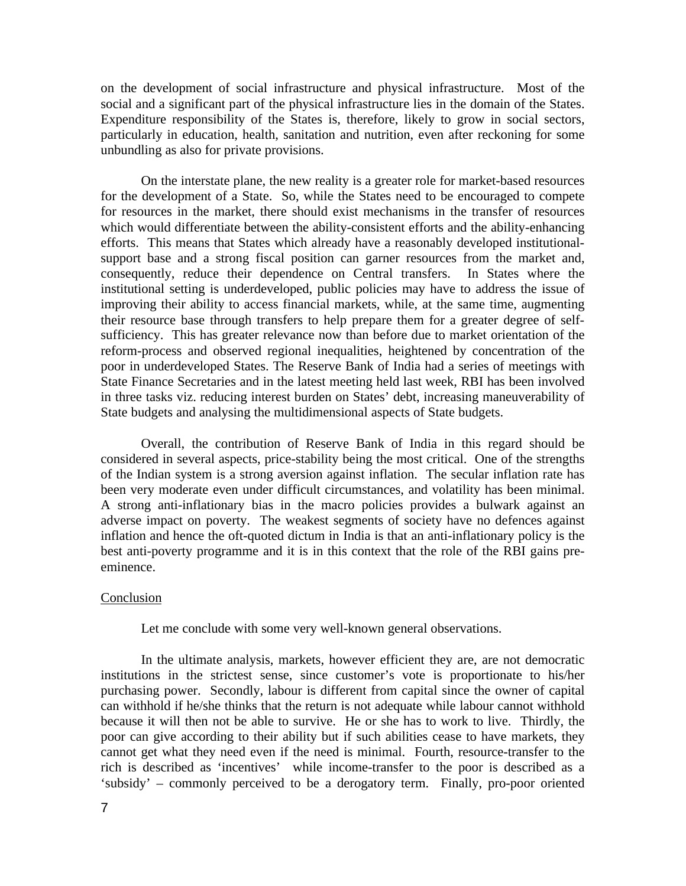on the development of social infrastructure and physical infrastructure. Most of the social and a significant part of the physical infrastructure lies in the domain of the States. Expenditure responsibility of the States is, therefore, likely to grow in social sectors, particularly in education, health, sanitation and nutrition, even after reckoning for some unbundling as also for private provisions.

On the interstate plane, the new reality is a greater role for market-based resources for the development of a State. So, while the States need to be encouraged to compete for resources in the market, there should exist mechanisms in the transfer of resources which would differentiate between the ability-consistent efforts and the ability-enhancing efforts. This means that States which already have a reasonably developed institutionalsupport base and a strong fiscal position can garner resources from the market and, consequently, reduce their dependence on Central transfers. In States where the institutional setting is underdeveloped, public policies may have to address the issue of improving their ability to access financial markets, while, at the same time, augmenting their resource base through transfers to help prepare them for a greater degree of selfsufficiency. This has greater relevance now than before due to market orientation of the reform-process and observed regional inequalities, heightened by concentration of the poor in underdeveloped States. The Reserve Bank of India had a series of meetings with State Finance Secretaries and in the latest meeting held last week, RBI has been involved in three tasks viz. reducing interest burden on States' debt, increasing maneuverability of State budgets and analysing the multidimensional aspects of State budgets.

Overall, the contribution of Reserve Bank of India in this regard should be considered in several aspects, price-stability being the most critical. One of the strengths of the Indian system is a strong aversion against inflation. The secular inflation rate has been very moderate even under difficult circumstances, and volatility has been minimal. A strong anti-inflationary bias in the macro policies provides a bulwark against an adverse impact on poverty. The weakest segments of society have no defences against inflation and hence the oft-quoted dictum in India is that an anti-inflationary policy is the best anti-poverty programme and it is in this context that the role of the RBI gains preeminence.

### Conclusion

Let me conclude with some very well-known general observations.

In the ultimate analysis, markets, however efficient they are, are not democratic institutions in the strictest sense, since customer's vote is proportionate to his/her purchasing power. Secondly, labour is different from capital since the owner of capital can withhold if he/she thinks that the return is not adequate while labour cannot withhold because it will then not be able to survive. He or she has to work to live. Thirdly, the poor can give according to their ability but if such abilities cease to have markets, they cannot get what they need even if the need is minimal. Fourth, resource-transfer to the rich is described as 'incentives' while income-transfer to the poor is described as a 'subsidy' – commonly perceived to be a derogatory term. Finally, pro-poor oriented